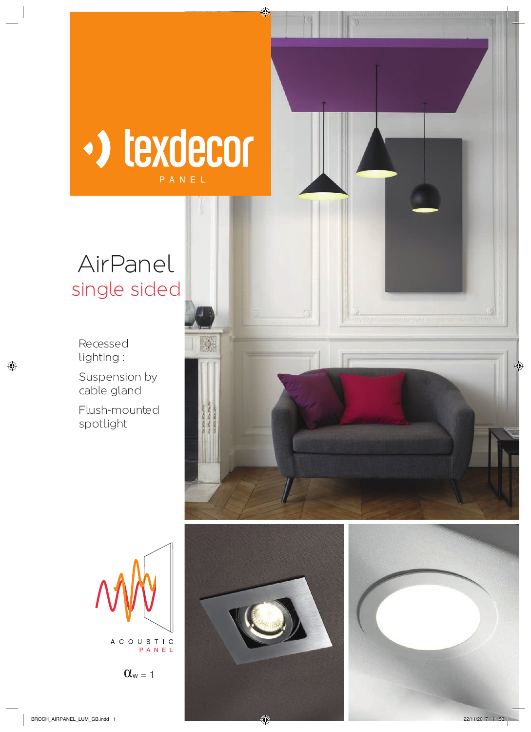

## AirPanel single sided

Recessed lighting :

Suspension by cable gland

Flush-mounted spotlight









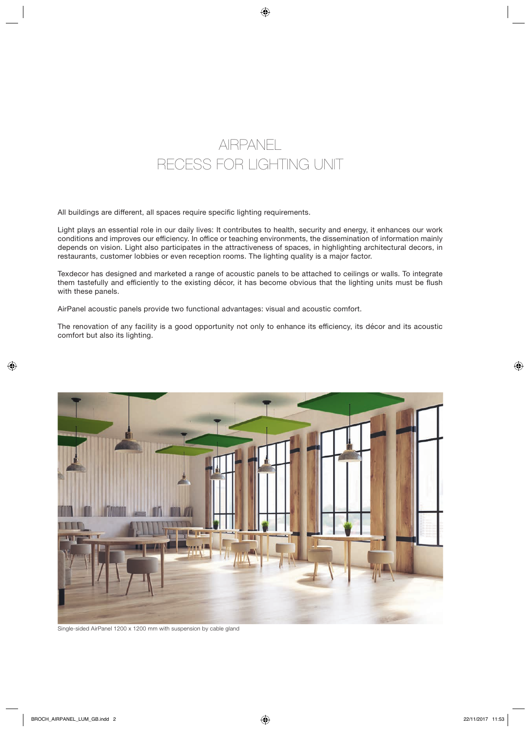

All buildings are different, all spaces require specific lighting requirements.

Light plays an essential role in our daily lives: It contributes to health, security and energy, it enhances our work conditions and improves our efficiency. In office or teaching environments, the dissemination of information mainly depends on vision. Light also participates in the attractiveness of spaces, in highlighting architectural decors, in restaurants, customer lobbies or even reception rooms. The lighting quality is a major factor.

Texdecor has designed and marketed a range of acoustic panels to be attached to ceilings or walls. To integrate them tastefully and efficiently to the existing décor, it has become obvious that the lighting units must be flush with these panels.

AirPanel acoustic panels provide two functional advantages: visual and acoustic comfort.

The renovation of any facility is a good opportunity not only to enhance its efficiency, its décor and its acoustic comfort but also its lighting.



Single-sided AirPanel 1200 x 1200 mm with suspension by cable gland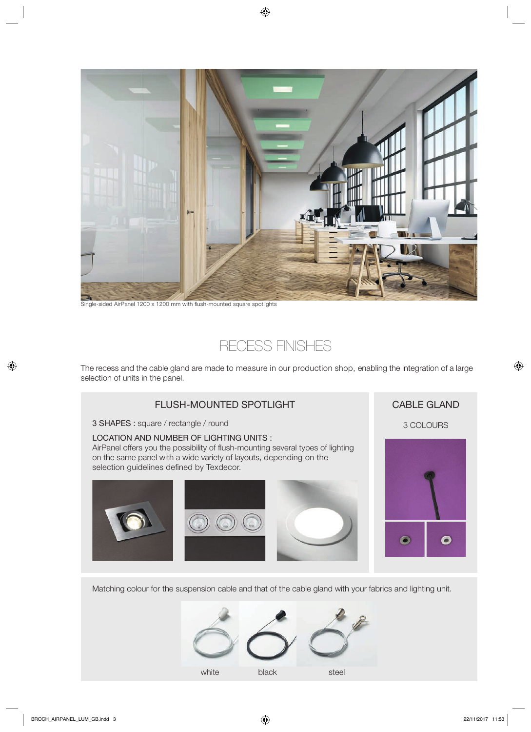

Single-sided AirPanel 1200 x 1200 mm with flush-mounted square spotlights



The recess and the cable gland are made to measure in our production shop, enabling the integration of a large selection of units in the panel.



Matching colour for the suspension cable and that of the cable gland with your fabrics and lighting unit.